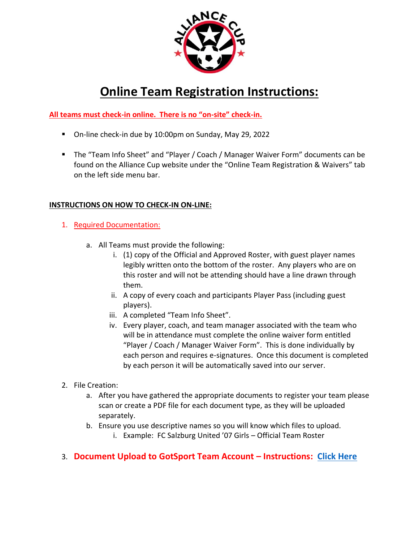

# **Online Team Registration Instructions:**

**All teams must check-in online. There is no "on-site" check-in.** 

- On-line check-in due by 10:00pm on Sunday, May 29, 2022
- The "Team Info Sheet" and "Player / Coach / Manager Waiver Form" documents can be found on the Alliance Cup website under the "Online Team Registration & Waivers" tab on the left side menu bar.

# **INSTRUCTIONS ON HOW TO CHECK-IN ON-LINE:**

- 1. Required Documentation:
	- a. All Teams must provide the following:
		- i. (1) copy of the Official and Approved Roster, with guest player names legibly written onto the bottom of the roster. Any players who are on this roster and will not be attending should have a line drawn through them.
		- ii. A copy of every coach and participants Player Pass (including guest players).
		- iii. A completed "Team Info Sheet".
		- iv. Every player, coach, and team manager associated with the team who will be in attendance must complete the online waiver form entitled "Player / Coach / Manager Waiver Form". This is done individually by each person and requires e-signatures. Once this document is completed by each person it will be automatically saved into our server.
- 2. File Creation:
	- a. After you have gathered the appropriate documents to register your team please scan or create a PDF file for each document type, as they will be uploaded separately.
	- b. Ensure you use descriptive names so you will know which files to upload.
		- i. Example: FC Salzburg United '07 Girls Official Team Roster

# 3. **Document Upload to GotSport Team Account – Instructions: [Click Here](https://gotsport.zendesk.com/hc/en-us/articles/4408013292183-How-do-I-Upload-Documents-for-Online-Check-In-)**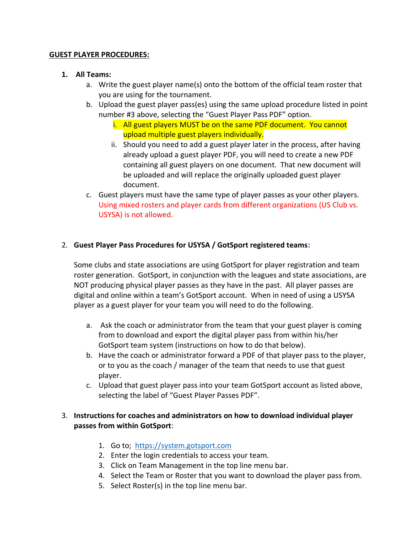#### **GUEST PLAYER PROCEDURES:**

#### **1. All Teams:**

- a. Write the guest player name(s) onto the bottom of the official team roster that you are using for the tournament.
- b. Upload the guest player pass(es) using the same upload procedure listed in point number #3 above, selecting the "Guest Player Pass PDF" option.
	- i. All guest players MUST be on the same PDF document. You cannot upload multiple guest players individually.
	- ii. Should you need to add a guest player later in the process, after having already upload a guest player PDF, you will need to create a new PDF containing all guest players on one document. That new document will be uploaded and will replace the originally uploaded guest player document.
- c. Guest players must have the same type of player passes as your other players. Using mixed rosters and player cards from different organizations (US Club vs. USYSA) is not allowed.

### 2. **Guest Player Pass Procedures for USYSA / GotSport registered teams:**

Some clubs and state associations are using GotSport for player registration and team roster generation. GotSport, in conjunction with the leagues and state associations, are NOT producing physical player passes as they have in the past. All player passes are digital and online within a team's GotSport account. When in need of using a USYSA player as a guest player for your team you will need to do the following.

- a. Ask the coach or administrator from the team that your guest player is coming from to download and export the digital player pass from within his/her GotSport team system (instructions on how to do that below).
- b. Have the coach or administrator forward a PDF of that player pass to the player, or to you as the coach / manager of the team that needs to use that guest player.
- c. Upload that guest player pass into your team GotSport account as listed above, selecting the label of "Guest Player Passes PDF".

## 3. **Instructions for coaches and administrators on how to download individual player passes from within GotSport**:

- 1. Go to; [https://system.gotsport.com](https://system.gotsport.com/)
- 2. Enter the login credentials to access your team.
- 3. Click on Team Management in the top line menu bar.
- 4. Select the Team or Roster that you want to download the player pass from.
- 5. Select Roster(s) in the top line menu bar.